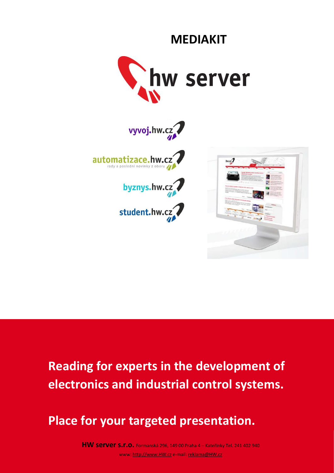

**MEDIAKIT**









# **Reading for experts in the development of electronics and industrial control systems.**

# **Place for your targeted presentation.**

**HW server s.r.o.** Formanská 296, 149 00 Praha 4 – Kateřinky Tel. 241 <sup>402</sup> <sup>940</sup> www[: http://www.HW.cz](http://www.hw.cz/) e-mail[: reklama@HW.cz](mailto:reklama@HW.cz)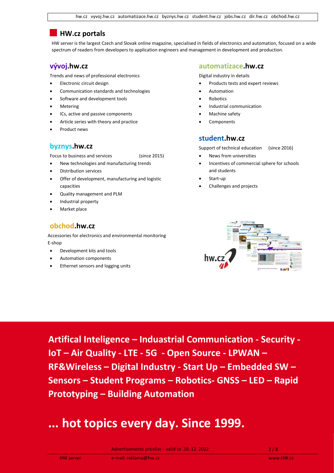# **HW.cz portals**

HW server is the largest Czech and Slovak online magazine, specialised in fields of electronics and automation, focused on a wide spectrum of readers from developers to application engineers and management in development and production.

## **vývoj.hw.cz**

Trends and news of professional electronics

- Electronic circuit design
- Communication standards and technologies
- Software and development tools
- **Metering**
- ICs, active and passive components
- Article series with theory and practice
- Product news

## **byznys.hw.cz**

Focus to business and services (since 2015)

- New technologies and manufacturing trends
- Distribution services
- Offer of development, manufacturing and logistic capacities
- Quality management and PLM
- Industrial property
- Market place

# **obchod.hw.cz**

Accessories for electronics and environmental monitoring E-shop

- Development kits and tools
- Automation components
- Ethernet sensors and logging units

#### **automatizace.hw.cz**

Digital industry in details

- Products tests and expert reviews
- **Automation**
- **Robotics**
- Industrial communication
- Machine safety
- **Components**

### **student.hw.cz**

Support of technical education (since 2016)

- News from universities
- Incentives of commercial sphere for schools and students
- Start-up
- Challenges and projects



**Artifical Inteligence – Induastrial Communication - Security - IoT – Air Quality - LTE - 5G - Open Source - LPWAN – RF&Wireless – Digital Industry - Start Up – Embedded SW – Sensors – Student Programs – Robotics- GNSS – LED – Rapid Prototyping – Building Automation**

# **... hot topics every day. Since 1999.**

Advertisements pricelist – valid to  $20.12.2022$  2/8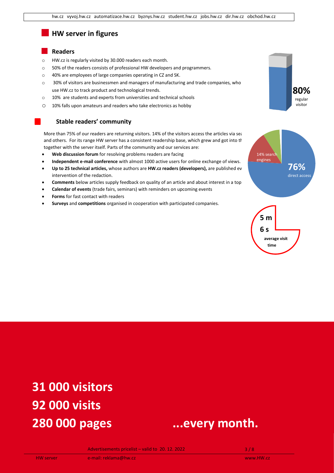# **HW server in figures**

#### **Readers**

- o HW.cz is regularly visited by 30.000 readers each month.
- o 50% of the readers consists of professional HW developers and programmers.
- o 40% are employees of large companies operating in CZ and SK.
- o 30% of visitors are businessmen and managers of manufacturing and trade companies, who use HW.cz to track product and technological trends.
- o 10% are students and experts from universities and technical schools
- o 10% falls upon amateurs and readers who take electronics as hobby

#### **Stable readers' community**

More than 75% of our readers are returning visitors. 14% of the visitors access the articles via sea and others. For its range HW server has a consistent readership base, which grew and got into the together with the server itself. Parts of the community and our services are:

- **Web discussion forum** for resolving problems readers are facing
- **Independent e-mail conference** with almost 1000 active users for online exchange of views.
- Up to 25 technical articles, whose authors are HW.cz readers (developers), are published ev intervention of the redaction.
- **Comments** below articles supply feedback on quality of an article and about interest in a topic.
- **Calendar of events** (trade fairs, seminars) with reminders on upcoming events
- **Forms** for fast contact with readers
- **Surveys** and **competitions** organised in cooperation with participated companies.





**time**

# **31 000 visitors 92 000 visits**



Advertisements pricelist – valid to  $20.12.2022$  3/8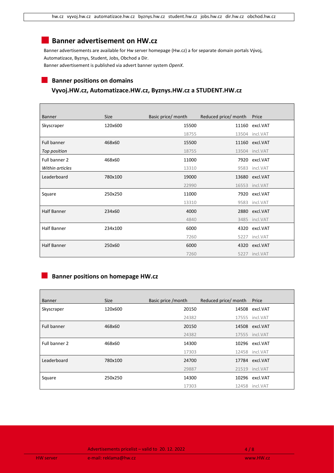# **Banner advertisement on HW.cz**

Banner advertisements are available for Hw server homepage (Hw.cz) a for separate domain portals Vývoj, Automatizace, Byznys, Student, Jobs, Obchod a Dir. Banner advertisement is published via advert banner system *OpenX*.

#### **Banner positions on domains**

Г

#### **Vyvoj.HW.cz, Automatizace.HW.cz, Byznys.HW.cz a STUDENT.HW.cz**

| <b>Banner</b>      | <b>Size</b> | Basic price/ month | Reduced price/ month | Price           |
|--------------------|-------------|--------------------|----------------------|-----------------|
| Skyscraper         | 120x600     | 15500              | 11160                | excl.VAT        |
|                    |             | 18755              |                      | 13504 incl.VAT  |
| <b>Full banner</b> | 468x60      | 15500              |                      | 11160 excl.VAT  |
| Top position       |             | 18755              |                      | 13504 incl.VAT  |
| Full banner 2      | 468x60      | 11000              | 7920                 | excl.VAT        |
| Within articles    |             | 13310              | 9583                 | incl.VAT        |
| Leaderboard        | 780x100     | 19000              | 13680                | excl.VAT        |
|                    |             | 22990              |                      | 16553 incl. VAT |
| Square             | 250x250     | 11000              | 7920                 | excl.VAT        |
|                    |             | 13310              |                      | 9583 incl.VAT   |
| <b>Half Banner</b> | 234x60      | 4000               |                      | 2880 excl.VAT   |
|                    |             | 4840               |                      | 3485 incl.VAT   |
| <b>Half Banner</b> | 234x100     | 6000               | 4320                 | excl.VAT        |
|                    |             | 7260               | 5227                 | incl.VAT        |
| <b>Half Banner</b> | 250x60      | 6000               | 4320                 | excl.VAT        |
|                    |             | 7260               |                      | 5227 incl.VAT   |

#### **Banner positions on homepage HW.cz**

| <b>Banner</b> | <b>Size</b> | Basic price / month | Reduced price/ month | Price          |
|---------------|-------------|---------------------|----------------------|----------------|
| Skyscraper    | 120x600     | 20150               |                      | 14508 excl.VAT |
|               |             | 24382               |                      | 17555 incl.VAT |
| Full banner   | 468x60      | 20150               |                      | 14508 excl.VAT |
|               |             | 24382               |                      | 17555 incl.VAT |
| Full banner 2 | 468x60      | 14300               |                      | 10296 excl.VAT |
|               |             | 17303               |                      | 12458 incl.VAT |
| Leaderboard   | 780x100     | 24700               |                      | 17784 excl.VAT |
|               |             | 29887               |                      | 21519 incl.VAT |
| Square        | 250x250     | 14300               |                      | 10296 excl.VAT |
|               |             | 17303               |                      | 12458 incl.VAT |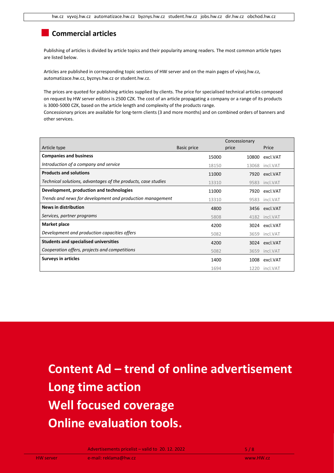# **Commercial articles**

Publishing of articles is divided by article topics and their popularity among readers. The most common article types are listed below.

Articles are published in corresponding topic sections of HW server and on the main pages of vývoj.hw.cz, automatizace.hw.cz, byznys.hw.cz or student.hw.cz.

The prices are quoted for publishing articles supplied by clients. The price for specialised technical articles composed on request by HW server editors is 2500 CZK. The cost of an article propagating a company or a range of its products is 3000-5000 CZK, based on the article length and complexity of the products range.

Concessionary prices are available for long-term clients (3 and more months) and on combined orders of banners and other services.

|                                                               |                    | Concessionary |                |
|---------------------------------------------------------------|--------------------|---------------|----------------|
| Article type                                                  | <b>Basic price</b> | price         | Price          |
| <b>Companies and business</b>                                 | 15000              |               | 10800 excl.VAT |
| Introduction of a company and service                         | 18150              |               | 13068 incl.VAT |
| <b>Products and solutions</b>                                 | 11000              |               | 7920 excl.VAT  |
| Technical solutions, advantages of the products, case studies | 13310              |               | 9583 incl.VAT  |
| Development, production and technologies                      | 11000              |               | 7920 excl.VAT  |
| Trends and news for development and production management     | 13310              |               | 9583 incl.VAT  |
| <b>News in distribution</b>                                   | 4800               |               | 3456 excl.VAT  |
| Services, partner programs                                    | 5808               |               | 4182 incl.VAT  |
| <b>Market place</b>                                           | 4200               |               | 3024 excl.VAT  |
| Development and production capacities offers                  | 5082               |               | 3659 incl.VAT  |
| <b>Students and specialised universities</b>                  | 4200               |               | 3024 excl.VAT  |
| Cooperation offers, projects and competitions                 | 5082               |               | 3659 incl.VAT  |
| <b>Surveys in articles</b>                                    | 1400               |               | 1008 excl.VAT  |
|                                                               | 1694               | 1220          | incl.VAT       |

**Content Ad – trend of online advertisement Long time action Well focused coverage Online evaluation tools.**

Advertisements pricelist – valid to  $20.12.2022$  5/8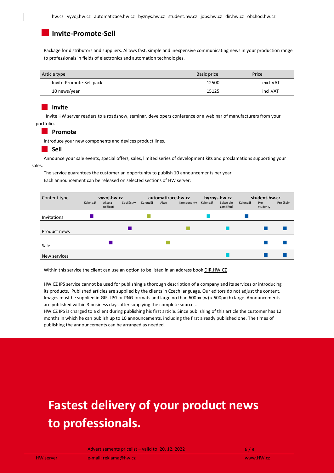## **Invite-Promote-Sell**

Package for distributors and suppliers. Allows fast, simple and inexpensive communicating news in your production range to professionals in fields of electronics and automation technologies.

| Article type             | Basic price | Price    |
|--------------------------|-------------|----------|
| Invite-Promote-Sell pack | 12500       | excl.VAT |
| 10 news/year             | 15125       | incl.VAT |

#### **Invite**

Invite HW server readers to a roadshow, seminar, developers conference or a webinar of manufacturers from your portfolio.

#### **Promote**

Introduce your new components and devices product lines.

#### **Sell**

Announce your sale events, special offers, sales, limited series of development kits and proclamations supporting your sales.

The service guarantees the customer an opportunity to publish 10 announcements per year.

Each announcement can be released on selected sections of HW server:



Within this service the client can use an option to be listed in an address book [DIR.HW.CZ](http://dir.hw.cz/)

HW.CZ IPS service cannot be used for publishing a thorough description of a company and its services or introducing its products. Published articles are supplied by the clients in Czech language. Our editors do not adjust the content. Images must be supplied in GIF, JPG or PNG formats and large no than 600px (w) x 600px (h) large. Announcements are published within 3 business days after supplying the complete sources.

HW.CZ IPS is charged to a client during publishing his first article. Since publishing of this article the customer has 12 months in which he can publish up to 10 announcements, including the first already published one. The times of publishing the announcements can be arranged as needed.

# **Fastest delivery of your product news to professionals.**

Advertisements pricelist – valid to  $20.12.2022$  6/8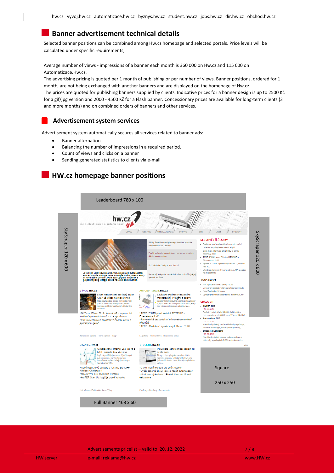## **Banner advertisement technical details**

Selected banner positions can be combined among Hw.cz homepage and selected portals. Price levels will be calculated under specific requirements,

Average number of views - impressions of a banner each month is 360 000 on Hw.cz and 115 000 on Automatizace.Hw.cz.

The advertising pricing is quoted per 1 month of publishing or per number of views. Banner positions, ordered for 1 month, are not being exchanged with another banners and are displayed on the homepage of Hw.cz.

The prices are quoted for publishing banners supplied by clients. Indicative prices for a banner design is up to 2500 Kč for a gif/jpg version and 2000 - 4500 Kč for a Flash banner. Concessionary prices are available for long-term clients (3 and more months) and on combined orders of banners and other services.

#### **Advertisement system services**

Advertisement system automatically secures all services related to banner ads:

- Banner alternation
- Balancing the number of impressions in a required period.
- Count of views and clicks on a banner
- Sending generated statistics to clients via e-mail

# **HW.cz homepage banner positions**